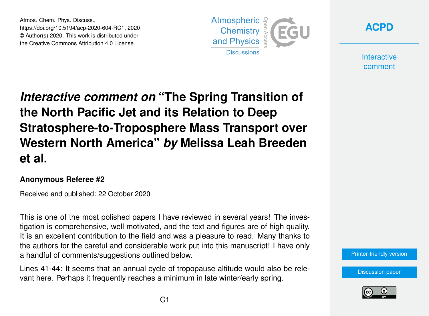Atmos. Chem. Phys. Discuss., https://doi.org/10.5194/acp-2020-604-RC1, 2020 © Author(s) 2020. This work is distributed under the Creative Commons Attribution 4.0 License.





**Interactive** comment

## *Interactive comment on* **"The Spring Transition of the North Pacific Jet and its Relation to Deep Stratosphere-to-Troposphere Mass Transport over Western North America"** *by* **Melissa Leah Breeden et al.**

## **Anonymous Referee #2**

Received and published: 22 October 2020

This is one of the most polished papers I have reviewed in several years! The investigation is comprehensive, well motivated, and the text and figures are of high quality. It is an excellent contribution to the field and was a pleasure to read. Many thanks to the authors for the careful and considerable work put into this manuscript! I have only a handful of comments/suggestions outlined below.

Lines 41-44: It seems that an annual cycle of tropopause altitude would also be relevant here. Perhaps it frequently reaches a minimum in late winter/early spring.

[Printer-friendly version](https://acp.copernicus.org/preprints/acp-2020-604/acp-2020-604-RC1-print.pdf)

[Discussion paper](https://acp.copernicus.org/preprints/acp-2020-604)